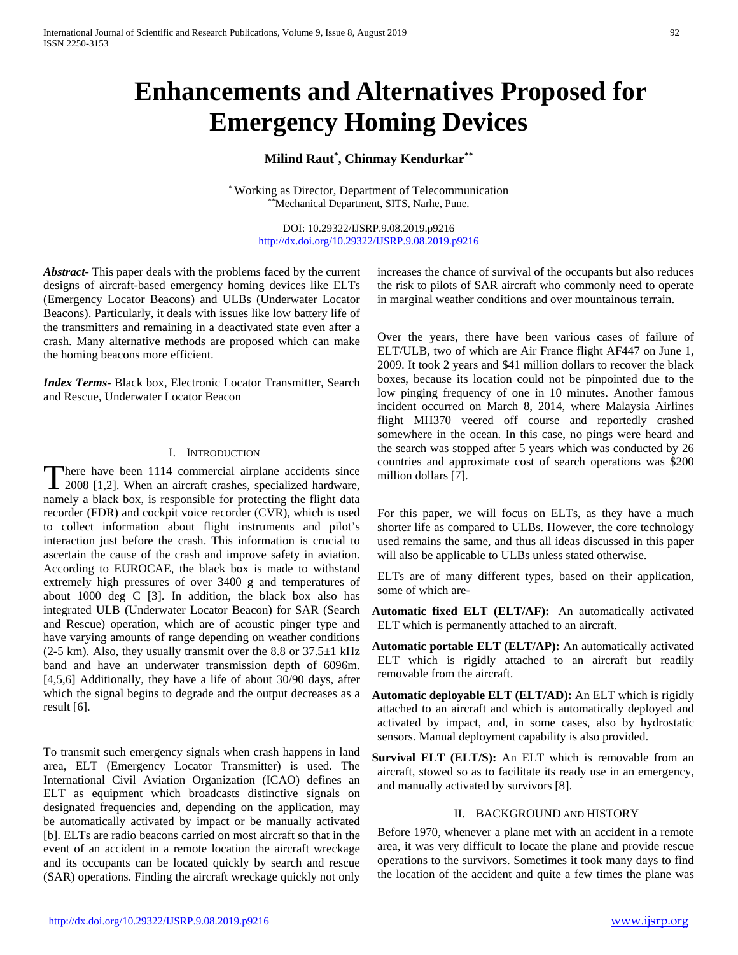# **Enhancements and Alternatives Proposed for Emergency Homing Devices**

## **Milind Raut\* , Chinmay Kendurkar\*\***

\*Working as Director, Department of Telecommunication \*Mechanical Department, SITS, Narhe, Pune.

> DOI: 10.29322/IJSRP.9.08.2019.p9216 <http://dx.doi.org/10.29322/IJSRP.9.08.2019.p9216>

*Abstract***-** This paper deals with the problems faced by the current designs of aircraft-based emergency homing devices like ELTs (Emergency Locator Beacons) and ULBs (Underwater Locator Beacons). Particularly, it deals with issues like low battery life of the transmitters and remaining in a deactivated state even after a crash. Many alternative methods are proposed which can make the homing beacons more efficient.

*Index Terms*- Black box, Electronic Locator Transmitter, Search and Rescue, Underwater Locator Beacon

## I. INTRODUCTION

here have been 1114 commercial airplane accidents since There have been 1114 commercial airplane accidents since<br>
2008 [1,2]. When an aircraft crashes, specialized hardware, namely a black box, is responsible for protecting the flight data recorder (FDR) and cockpit voice recorder (CVR), which is used to collect information about flight instruments and pilot's interaction just before the crash. This information is crucial to ascertain the cause of the crash and improve safety in aviation. According to EUROCAE, the black box is made to withstand extremely high pressures of over 3400 g and temperatures of about 1000 deg C [3]. In addition, the black box also has integrated ULB (Underwater Locator Beacon) for SAR (Search and Rescue) operation, which are of acoustic pinger type and have varying amounts of range depending on weather conditions  $(2-5 \text{ km})$ . Also, they usually transmit over the 8.8 or  $37.5\pm1 \text{ kHz}$ band and have an underwater transmission depth of 6096m. [4,5,6] Additionally, they have a life of about 30/90 days, after which the signal begins to degrade and the output decreases as a result [6].

To transmit such emergency signals when crash happens in land area, ELT (Emergency Locator Transmitter) is used. The International Civil Aviation Organization (ICAO) defines an ELT as equipment which broadcasts distinctive signals on designated frequencies and, depending on the application, may be automatically activated by impact or be manually activated [b]. ELTs are radio beacons carried on most aircraft so that in the event of an accident in a remote location the aircraft wreckage and its occupants can be located quickly by search and rescue (SAR) operations. Finding the aircraft wreckage quickly not only increases the chance of survival of the occupants but also reduces the risk to pilots of SAR aircraft who commonly need to operate in marginal weather conditions and over mountainous terrain.

Over the years, there have been various cases of failure of ELT/ULB, two of which are Air France flight AF447 on June 1, 2009. It took 2 years and \$41 million dollars to recover the black boxes, because its location could not be pinpointed due to the low pinging frequency of one in 10 minutes. Another famous incident occurred on March 8, 2014, where Malaysia Airlines flight MH370 veered off course and reportedly crashed somewhere in the ocean. In this case, no pings were heard and the search was stopped after 5 years which was conducted by 26 countries and approximate cost of search operations was \$200 million dollars [7].

For this paper, we will focus on ELTs, as they have a much shorter life as compared to ULBs. However, the core technology used remains the same, and thus all ideas discussed in this paper will also be applicable to ULBs unless stated otherwise.

ELTs are of many different types, based on their application, some of which are-

- **Automatic fixed ELT (ELT/AF):** An automatically activated ELT which is permanently attached to an aircraft.
- **Automatic portable ELT (ELT/AP):** An automatically activated ELT which is rigidly attached to an aircraft but readily removable from the aircraft.
- **Automatic deployable ELT (ELT/AD):** An ELT which is rigidly attached to an aircraft and which is automatically deployed and activated by impact, and, in some cases, also by hydrostatic sensors. Manual deployment capability is also provided.
- **Survival ELT (ELT/S):** An ELT which is removable from an aircraft, stowed so as to facilitate its ready use in an emergency, and manually activated by survivors [8].

#### II. BACKGROUND AND HISTORY

Before 1970, whenever a plane met with an accident in a remote area, it was very difficult to locate the plane and provide rescue operations to the survivors. Sometimes it took many days to find the location of the accident and quite a few times the plane was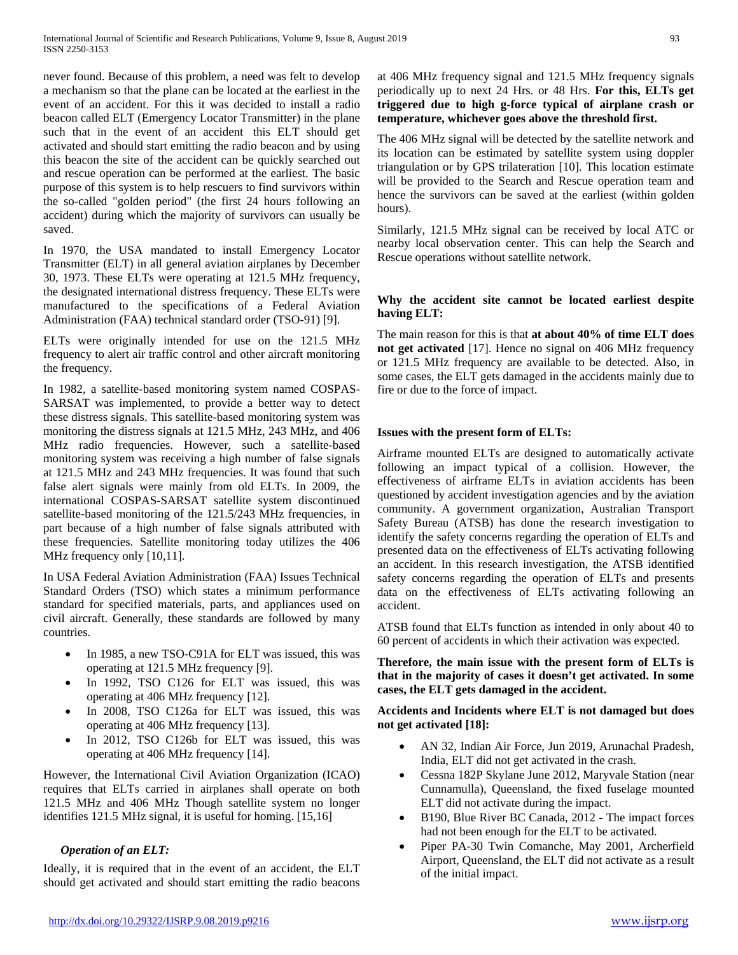never found. Because of this problem, a need was felt to develop a mechanism so that the plane can be located at the earliest in the event of an accident. For this it was decided to install a radio beacon called ELT (Emergency Locator Transmitter) in the plane such that in the event of an accident this ELT should get activated and should start emitting the radio beacon and by using this beacon the site of the accident can be quickly searched out and rescue operation can be performed at the earliest. The basic purpose of this system is to help rescuers to find survivors within the so-called "golden period" (the first 24 hours following an accident) during which the majority of survivors can usually be saved.

In 1970, the USA mandated to install Emergency Locator Transmitter (ELT) in all general aviation airplanes by December 30, 1973. These ELTs were operating at 121.5 MHz frequency, the designated international distress frequency. These ELTs were manufactured to the specifications of a Federal Aviation Administration (FAA) technical standard order (TSO-91) [9].

ELTs were originally intended for use on the 121.5 MHz frequency to alert air traffic control and other aircraft monitoring the frequency.

In 1982, a satellite-based monitoring system named COSPAS-SARSAT was implemented, to provide a better way to detect these distress signals. This satellite-based monitoring system was monitoring the distress signals at 121.5 MHz, 243 MHz, and 406 MHz radio frequencies. However, such a satellite-based monitoring system was receiving a high number of false signals at 121.5 MHz and 243 MHz frequencies. It was found that such false alert signals were mainly from old ELTs. In 2009, the international COSPAS-SARSAT satellite system discontinued satellite-based monitoring of the 121.5/243 MHz frequencies, in part because of a high number of false signals attributed with these frequencies. Satellite monitoring today utilizes the 406 MHz frequency only [10,11].

In USA Federal Aviation Administration (FAA) Issues Technical Standard Orders (TSO) which states a minimum performance standard for specified materials, parts, and appliances used on civil aircraft. Generally, these standards are followed by many countries.

- In 1985, a new TSO-C91A for ELT was issued, this was operating at 121.5 MHz frequency [9].
- In 1992, TSO C126 for ELT was issued, this was operating at 406 MHz frequency [12].
- In 2008, TSO C126a for ELT was issued, this was operating at 406 MHz frequency [13].
- In 2012, TSO C126b for ELT was issued, this was operating at 406 MHz frequency [14].

However, the International Civil Aviation Organization (ICAO) requires that ELTs carried in airplanes shall operate on both 121.5 MHz and 406 MHz Though satellite system no longer identifies 121.5 MHz signal, it is useful for homing. [15,16]

## *Operation of an ELT:*

Ideally, it is required that in the event of an accident, the ELT should get activated and should start emitting the radio beacons at 406 MHz frequency signal and 121.5 MHz frequency signals periodically up to next 24 Hrs. or 48 Hrs. **For this, ELTs get triggered due to high g-force typical of airplane crash or temperature, whichever goes above the threshold first.**

The 406 MHz signal will be detected by the satellite network and its location can be estimated by satellite system using doppler triangulation or by GPS trilateration [10]. This location estimate will be provided to the Search and Rescue operation team and hence the survivors can be saved at the earliest (within golden hours).

Similarly, 121.5 MHz signal can be received by local ATC or nearby local observation center. This can help the Search and Rescue operations without satellite network.

## **Why the accident site cannot be located earliest despite having ELT:**

The main reason for this is that **at about 40% of time ELT does not get activated** [17]. Hence no signal on 406 MHz frequency or 121.5 MHz frequency are available to be detected. Also, in some cases, the ELT gets damaged in the accidents mainly due to fire or due to the force of impact.

## **Issues with the present form of ELTs:**

Airframe mounted ELTs are designed to automatically activate following an impact typical of a collision. However, the effectiveness of airframe ELTs in aviation accidents has been questioned by accident investigation agencies and by the aviation community. A government organization, Australian Transport Safety Bureau (ATSB) has done the research investigation to identify the safety concerns regarding the operation of ELTs and presented data on the effectiveness of ELTs activating following an accident. In this research investigation, the ATSB identified safety concerns regarding the operation of ELTs and presents data on the effectiveness of ELTs activating following an accident.

ATSB found that ELTs function as intended in only about 40 to 60 percent of accidents in which their activation was expected.

**Therefore, the main issue with the present form of ELTs is that in the majority of cases it doesn't get activated. In some cases, the ELT gets damaged in the accident.**

**Accidents and Incidents where ELT is not damaged but does not get activated [18]:**

- AN 32, Indian Air Force, Jun 2019, Arunachal Pradesh, India, ELT did not get activated in the crash.
- Cessna 182P Skylane June 2012, Maryvale Station (near Cunnamulla), Queensland, the fixed fuselage mounted ELT did not activate during the impact.
- B190, Blue River BC Canada, 2012 The impact forces had not been enough for the ELT to be activated.
- Piper PA-30 Twin Comanche, May 2001, Archerfield Airport, Queensland, the ELT did not activate as a result of the initial impact.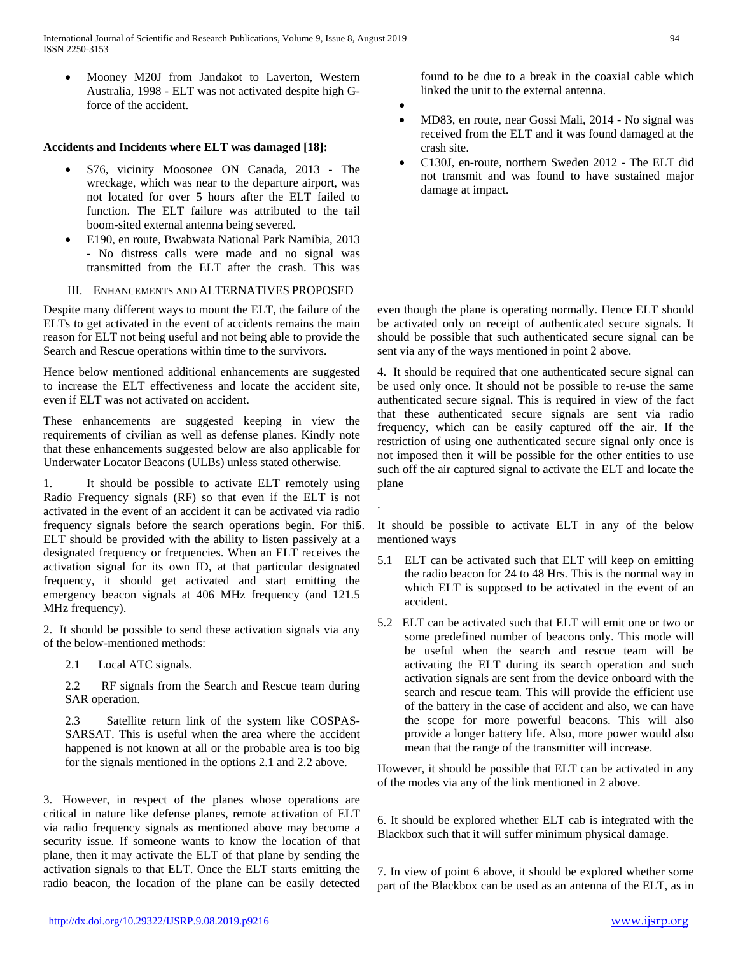International Journal of Scientific and Research Publications, Volume 9, Issue 8, August 2019 94 ISSN 2250-3153

• Mooney M20J from Jandakot to Laverton, Western Australia, 1998 - ELT was not activated despite high Gforce of the accident.

## **Accidents and Incidents where ELT was damaged [18]:**

- S76, vicinity Moosonee ON Canada, 2013 The wreckage, which was near to the departure airport, was not located for over 5 hours after the ELT failed to function. The ELT failure was attributed to the tail boom-sited external antenna being severed.
- E190, en route, Bwabwata National Park Namibia, 2013 - No distress calls were made and no signal was transmitted from the ELT after the crash. This was
- III. ENHANCEMENTS AND ALTERNATIVES PROPOSED

Despite many different ways to mount the ELT, the failure of the ELTs to get activated in the event of accidents remains the main reason for ELT not being useful and not being able to provide the Search and Rescue operations within time to the survivors.

Hence below mentioned additional enhancements are suggested to increase the ELT effectiveness and locate the accident site, even if ELT was not activated on accident.

These enhancements are suggested keeping in view the requirements of civilian as well as defense planes. Kindly note that these enhancements suggested below are also applicable for Underwater Locator Beacons (ULBs) unless stated otherwise.

1. It should be possible to activate ELT remotely using Radio Frequency signals (RF) so that even if the ELT is not activated in the event of an accident it can be activated via radio frequency signals before the search operations begin. For this ELT should be provided with the ability to listen passively at a designated frequency or frequencies. When an ELT receives the activation signal for its own ID, at that particular designated frequency, it should get activated and start emitting the emergency beacon signals at 406 MHz frequency (and 121.5 MHz frequency).

2. It should be possible to send these activation signals via any of the below-mentioned methods:

2.1 Local ATC signals.

2.2 RF signals from the Search and Rescue team during SAR operation.

2.3 Satellite return link of the system like COSPAS-SARSAT. This is useful when the area where the accident happened is not known at all or the probable area is too big for the signals mentioned in the options 2.1 and 2.2 above.

3. However, in respect of the planes whose operations are critical in nature like defense planes, remote activation of ELT via radio frequency signals as mentioned above may become a security issue. If someone wants to know the location of that plane, then it may activate the ELT of that plane by sending the activation signals to that ELT. Once the ELT starts emitting the radio beacon, the location of the plane can be easily detected found to be due to a break in the coaxial cable which linked the unit to the external antenna.

•

.

- MD83, en route, near Gossi Mali, 2014 No signal was received from the ELT and it was found damaged at the crash site.
- C130J, en-route, northern Sweden 2012 The ELT did not transmit and was found to have sustained major damage at impact.

even though the plane is operating normally. Hence ELT should be activated only on receipt of authenticated secure signals. It should be possible that such authenticated secure signal can be sent via any of the ways mentioned in point 2 above.

4. It should be required that one authenticated secure signal can be used only once. It should not be possible to re-use the same authenticated secure signal. This is required in view of the fact that these authenticated secure signals are sent via radio frequency, which can be easily captured off the air. If the restriction of using one authenticated secure signal only once is not imposed then it will be possible for the other entities to use such off the air captured signal to activate the ELT and locate the plane

It should be possible to activate ELT in any of the below mentioned ways

- 5.1 ELT can be activated such that ELT will keep on emitting the radio beacon for 24 to 48 Hrs. This is the normal way in which ELT is supposed to be activated in the event of an accident.
- 5.2 ELT can be activated such that ELT will emit one or two or some predefined number of beacons only. This mode will be useful when the search and rescue team will be activating the ELT during its search operation and such activation signals are sent from the device onboard with the search and rescue team. This will provide the efficient use of the battery in the case of accident and also, we can have the scope for more powerful beacons. This will also provide a longer battery life. Also, more power would also mean that the range of the transmitter will increase.

However, it should be possible that ELT can be activated in any of the modes via any of the link mentioned in 2 above.

6. It should be explored whether ELT cab is integrated with the Blackbox such that it will suffer minimum physical damage.

7. In view of point 6 above, it should be explored whether some part of the Blackbox can be used as an antenna of the ELT, as in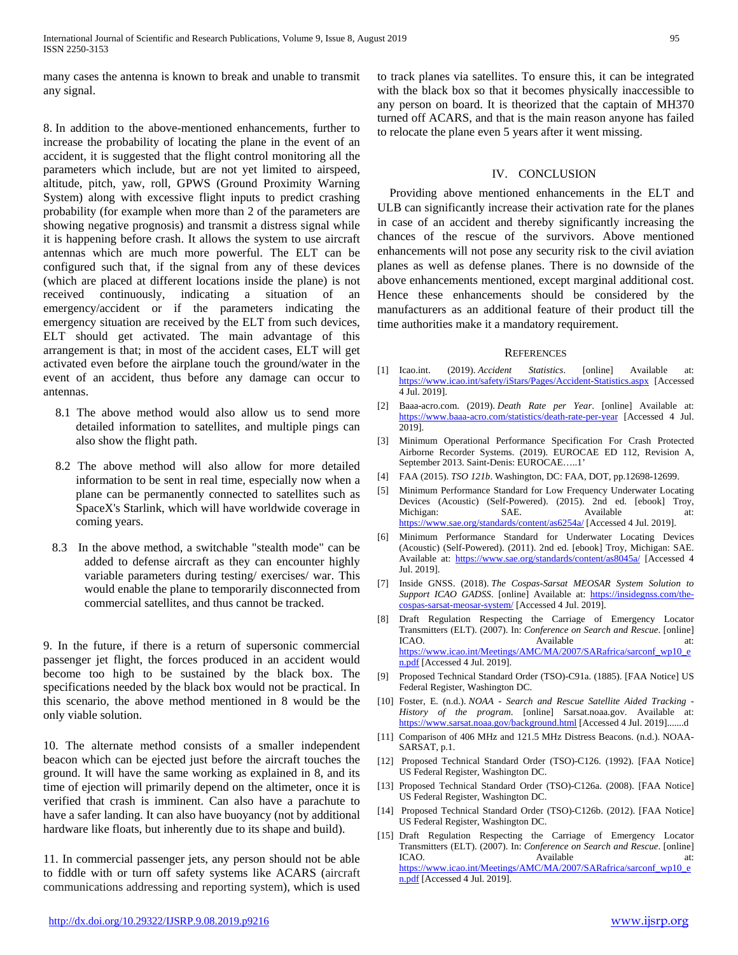many cases the antenna is known to break and unable to transmit any signal.

8. In addition to the above-mentioned enhancements, further to increase the probability of locating the plane in the event of an accident, it is suggested that the flight control monitoring all the parameters which include, but are not yet limited to airspeed, altitude, pitch, yaw, roll, GPWS (Ground Proximity Warning System) along with excessive flight inputs to predict crashing probability (for example when more than 2 of the parameters are showing negative prognosis) and transmit a distress signal while it is happening before crash. It allows the system to use aircraft antennas which are much more powerful. The ELT can be configured such that, if the signal from any of these devices (which are placed at different locations inside the plane) is not received continuously, indicating a situation of an emergency/accident or if the parameters indicating the emergency situation are received by the ELT from such devices, ELT should get activated. The main advantage of this arrangement is that; in most of the accident cases, ELT will get activated even before the airplane touch the ground/water in the event of an accident, thus before any damage can occur to antennas.

- 8.1 The above method would also allow us to send more detailed information to satellites, and multiple pings can also show the flight path.
- 8.2 The above method will also allow for more detailed information to be sent in real time, especially now when a plane can be permanently connected to satellites such as SpaceX's Starlink, which will have worldwide coverage in coming years.
- 8.3 In the above method, a switchable "stealth mode" can be added to defense aircraft as they can encounter highly variable parameters during testing/ exercises/ war. This would enable the plane to temporarily disconnected from commercial satellites, and thus cannot be tracked.

9. In the future, if there is a return of supersonic commercial passenger jet flight, the forces produced in an accident would become too high to be sustained by the black box. The specifications needed by the black box would not be practical. In this scenario, the above method mentioned in 8 would be the only viable solution.

10. The alternate method consists of a smaller independent beacon which can be ejected just before the aircraft touches the ground. It will have the same working as explained in 8, and its time of ejection will primarily depend on the altimeter, once it is verified that crash is imminent. Can also have a parachute to have a safer landing. It can also have buoyancy (not by additional hardware like floats, but inherently due to its shape and build).

11. In commercial passenger jets, any person should not be able to fiddle with or turn off safety systems like ACARS (aircraft communications addressing and reporting system), which is used to track planes via satellites. To ensure this, it can be integrated with the black box so that it becomes physically inaccessible to any person on board. It is theorized that the captain of MH370 turned off ACARS, and that is the main reason anyone has failed to relocate the plane even 5 years after it went missing.

## IV. CONCLUSION

Providing above mentioned enhancements in the ELT and ULB can significantly increase their activation rate for the planes in case of an accident and thereby significantly increasing the chances of the rescue of the survivors. Above mentioned enhancements will not pose any security risk to the civil aviation planes as well as defense planes. There is no downside of the above enhancements mentioned, except marginal additional cost. Hence these enhancements should be considered by the manufacturers as an additional feature of their product till the time authorities make it a mandatory requirement.

#### **REFERENCES**

- [1] Icao.int. (2019). *Accident Statistics*. [online] Available at: <https://www.icao.int/safety/iStars/Pages/Accident-Statistics.aspx> [Accessed 4 Jul. 2019].
- [2] Baaa-acro.com. (2019). *Death Rate per Year*. [online] Available at: <https://www.baaa-acro.com/statistics/death-rate-per-year> [Accessed 4 Jul. 2019].
- [3] Minimum Operational Performance Specification For Crash Protected Airborne Recorder Systems. (2019). EUROCAE ED 112, Revision A, September 2013. Saint-Denis: EUROCAE…..1'
- [4] FAA (2015). *TSO 121b*. Washington, DC: FAA, DOT, pp.12698-12699.
- [5] Minimum Performance Standard for Low Frequency Underwater Locating Devices (Acoustic) (Self-Powered). (2015). 2nd ed. [ebook] Troy, Michigan: SAE. Available at: <https://www.sae.org/standards/content/as6254a/> [Accessed 4 Jul. 2019].
- [6] Minimum Performance Standard for Underwater Locating Devices (Acoustic) (Self-Powered). (2011). 2nd ed. [ebook] Troy, Michigan: SAE. Available at:<https://www.sae.org/standards/content/as8045a/> [Accessed 4 Jul. 2019].
- [7] Inside GNSS. (2018). *The Cospas-Sarsat MEOSAR System Solution to*  Support ICAO GADSS. [online] Available at: [https://insidegnss.com/the](https://insidegnss.com/the-cospas-sarsat-meosar-system/)[cospas-sarsat-meosar-system/](https://insidegnss.com/the-cospas-sarsat-meosar-system/) [Accessed 4 Jul. 2019].
- [8] Draft Regulation Respecting the Carriage of Emergency Locator Transmitters (ELT). (2007). In: *Conference on Search and Rescue*. [online] ICAO. Available at: [https://www.icao.int/Meetings/AMC/MA/2007/SARafrica/sarconf\\_wp10\\_e](https://www.icao.int/Meetings/AMC/MA/2007/SARafrica/sarconf_wp10_en.pdf) [n.pdf](https://www.icao.int/Meetings/AMC/MA/2007/SARafrica/sarconf_wp10_en.pdf) [Accessed 4 Jul. 2019].
- [9] Proposed Technical Standard Order (TSO)-C91a. (1885). [FAA Notice] US Federal Register, Washington DC.
- [10] Foster, E. (n.d.). *NOAA - Search and Rescue Satellite Aided Tracking - History of the program*. [online] Sarsat.noaa.gov. Available at: <https://www.sarsat.noaa.gov/background.html> [Accessed 4 Jul. 2019].......d
- [11] Comparison of 406 MHz and 121.5 MHz Distress Beacons. (n.d.). NOAA-SARSAT, p.1.
- [12] Proposed Technical Standard Order (TSO)-C126. (1992). [FAA Notice] US Federal Register, Washington DC.
- [13] Proposed Technical Standard Order (TSO)-C126a. (2008). [FAA Notice] US Federal Register, Washington DC.
- [14] Proposed Technical Standard Order (TSO)-C126b. (2012). [FAA Notice] US Federal Register, Washington DC.
- [15] Draft Regulation Respecting the Carriage of Emergency Locator Transmitters (ELT). (2007). In: *Conference on Search and Rescue*. [online] ICAO. Available at: [https://www.icao.int/Meetings/AMC/MA/2007/SARafrica/sarconf\\_wp10\\_e](https://www.icao.int/Meetings/AMC/MA/2007/SARafrica/sarconf_wp10_en.pdf) [n.pdf](https://www.icao.int/Meetings/AMC/MA/2007/SARafrica/sarconf_wp10_en.pdf) [Accessed 4 Jul. 2019].